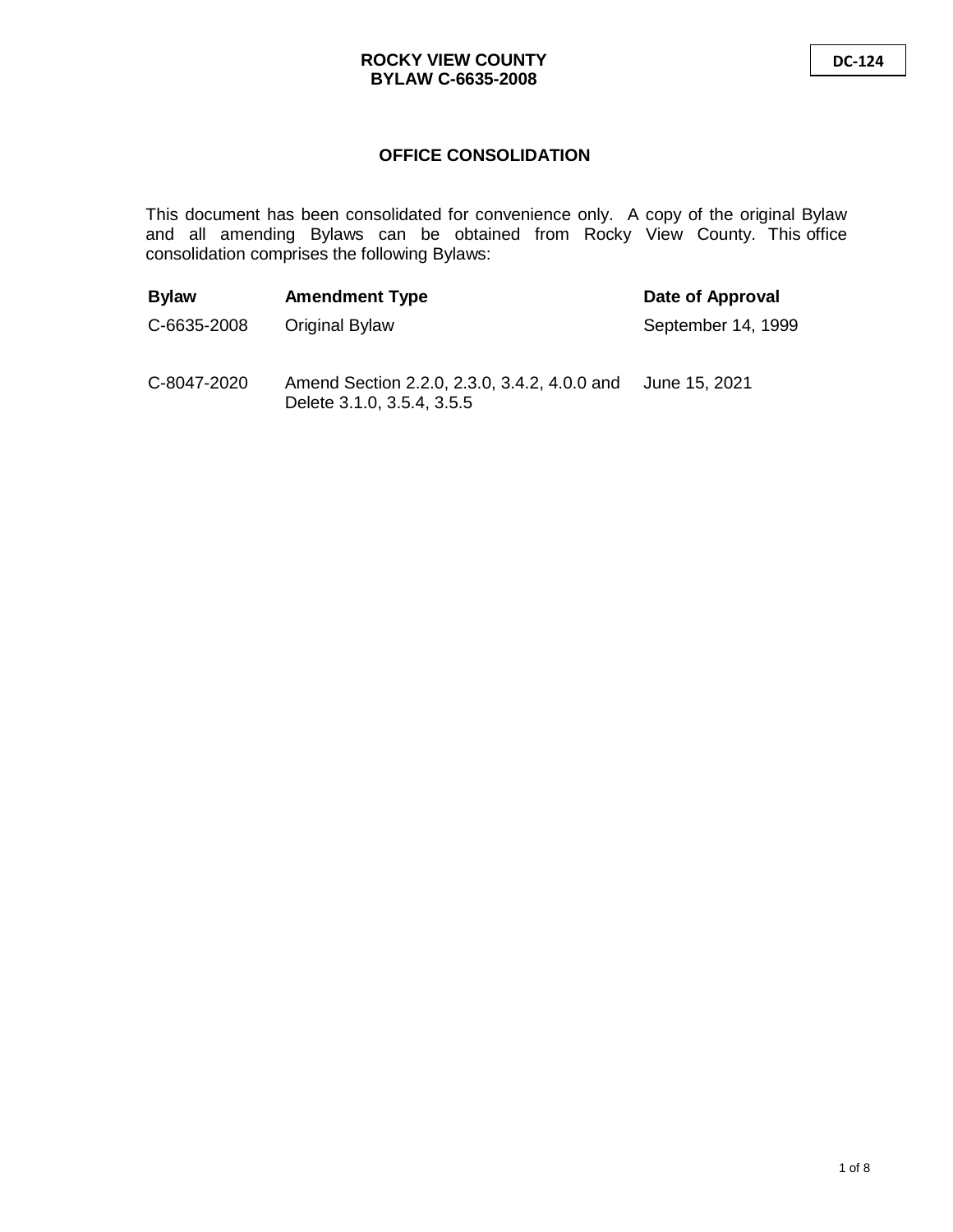# **OFFICE CONSOLIDATION**

This document has been consolidated for convenience only. A copy of the original Bylaw and all amending Bylaws can be obtained from Rocky View County. This office consolidation comprises the following Bylaws:

| <b>Bylaw</b> | <b>Amendment Type</b>                                                      | Date of Approval   |
|--------------|----------------------------------------------------------------------------|--------------------|
| C-6635-2008  | Original Bylaw                                                             | September 14, 1999 |
| C-8047-2020  | Amend Section 2.2.0, 2.3.0, 3.4.2, 4.0.0 and<br>Delete 3.1.0, 3.5.4, 3.5.5 | June 15, 2021      |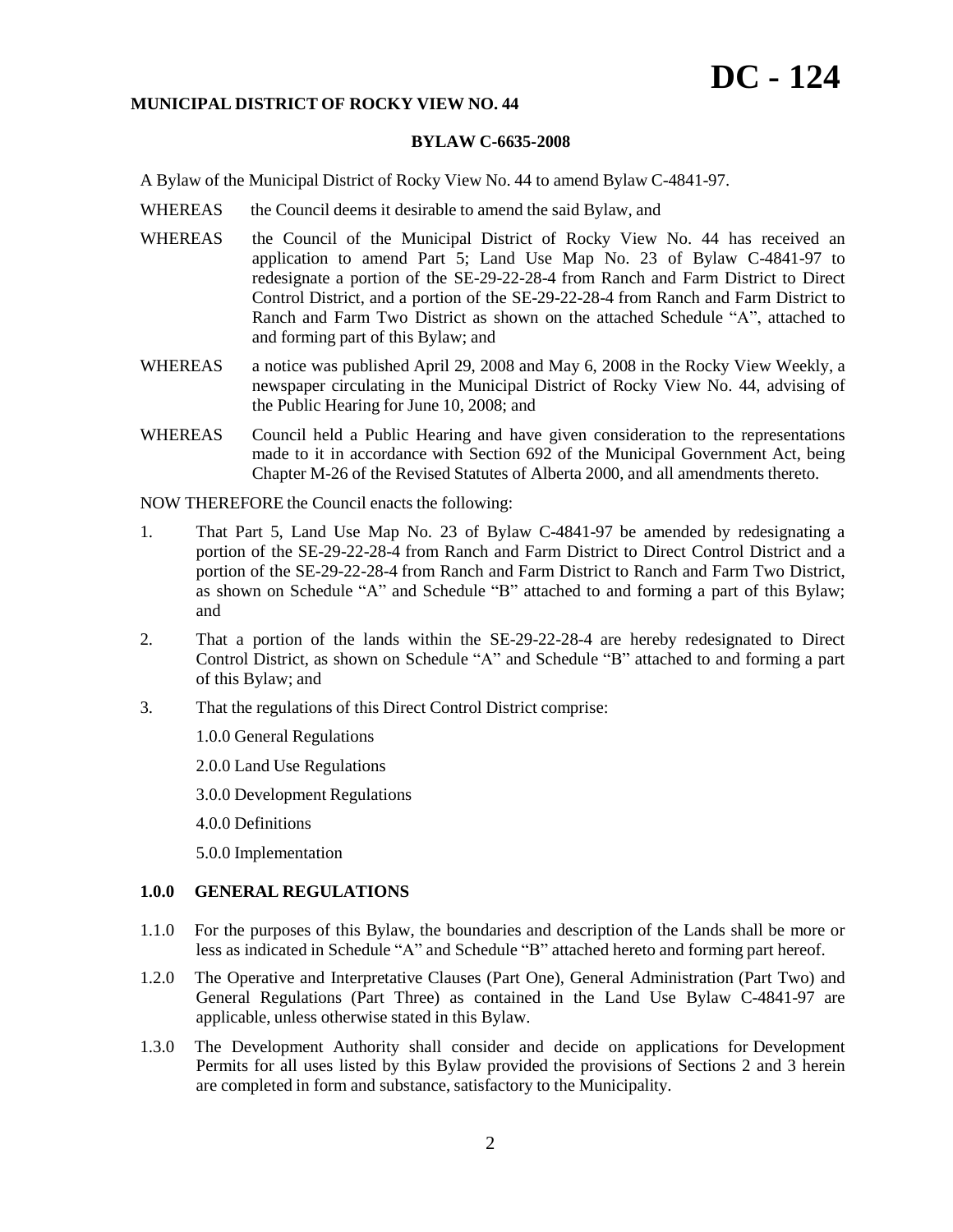# **DC - 124**

#### **MUNICIPAL DISTRICT OF ROCKY VIEW NO. 44**

## **BYLAW C-6635-2008**

A Bylaw of the Municipal District of Rocky View No. 44 to amend Bylaw C-4841-97.

- WHEREAS the Council deems it desirable to amend the said Bylaw, and
- WHEREAS the Council of the Municipal District of Rocky View No. 44 has received an application to amend Part 5; Land Use Map No. 23 of Bylaw C-4841-97 to redesignate a portion of the SE-29-22-28-4 from Ranch and Farm District to Direct Control District, and a portion of the SE-29-22-28-4 from Ranch and Farm District to Ranch and Farm Two District as shown on the attached Schedule "A", attached to and forming part of this Bylaw; and
- WHEREAS a notice was published April 29, 2008 and May 6, 2008 in the Rocky View Weekly, a newspaper circulating in the Municipal District of Rocky View No. 44, advising of the Public Hearing for June 10, 2008; and
- WHEREAS Council held a Public Hearing and have given consideration to the representations made to it in accordance with Section 692 of the Municipal Government Act, being Chapter M-26 of the Revised Statutes of Alberta 2000, and all amendments thereto.

NOW THEREFORE the Council enacts the following:

- 1. That Part 5, Land Use Map No. 23 of Bylaw C-4841-97 be amended by redesignating a portion of the SE-29-22-28-4 from Ranch and Farm District to Direct Control District and a portion of the SE-29-22-28-4 from Ranch and Farm District to Ranch and Farm Two District, as shown on Schedule "A" and Schedule "B" attached to and forming a part of this Bylaw; and
- 2. That a portion of the lands within the SE-29-22-28-4 are hereby redesignated to Direct Control District, as shown on Schedule "A" and Schedule "B" attached to and forming a part of this Bylaw; and
- 3. That the regulations of this Direct Control District comprise:
	- 1.0.0 General Regulations

2.0.0 Land Use Regulations

3.0.0 Development Regulations

4.0.0 Definitions

5.0.0 Implementation

#### **1.0.0 GENERAL REGULATIONS**

- 1.1.0 For the purposes of this Bylaw, the boundaries and description of the Lands shall be more or less as indicated in Schedule "A" and Schedule "B" attached hereto and forming part hereof.
- 1.2.0 The Operative and Interpretative Clauses (Part One), General Administration (Part Two) and General Regulations (Part Three) as contained in the Land Use Bylaw C-4841-97 are applicable, unless otherwise stated in this Bylaw.
- 1.3.0 The Development Authority shall consider and decide on applications for Development Permits for all uses listed by this Bylaw provided the provisions of Sections 2 and 3 herein are completed in form and substance, satisfactory to the Municipality.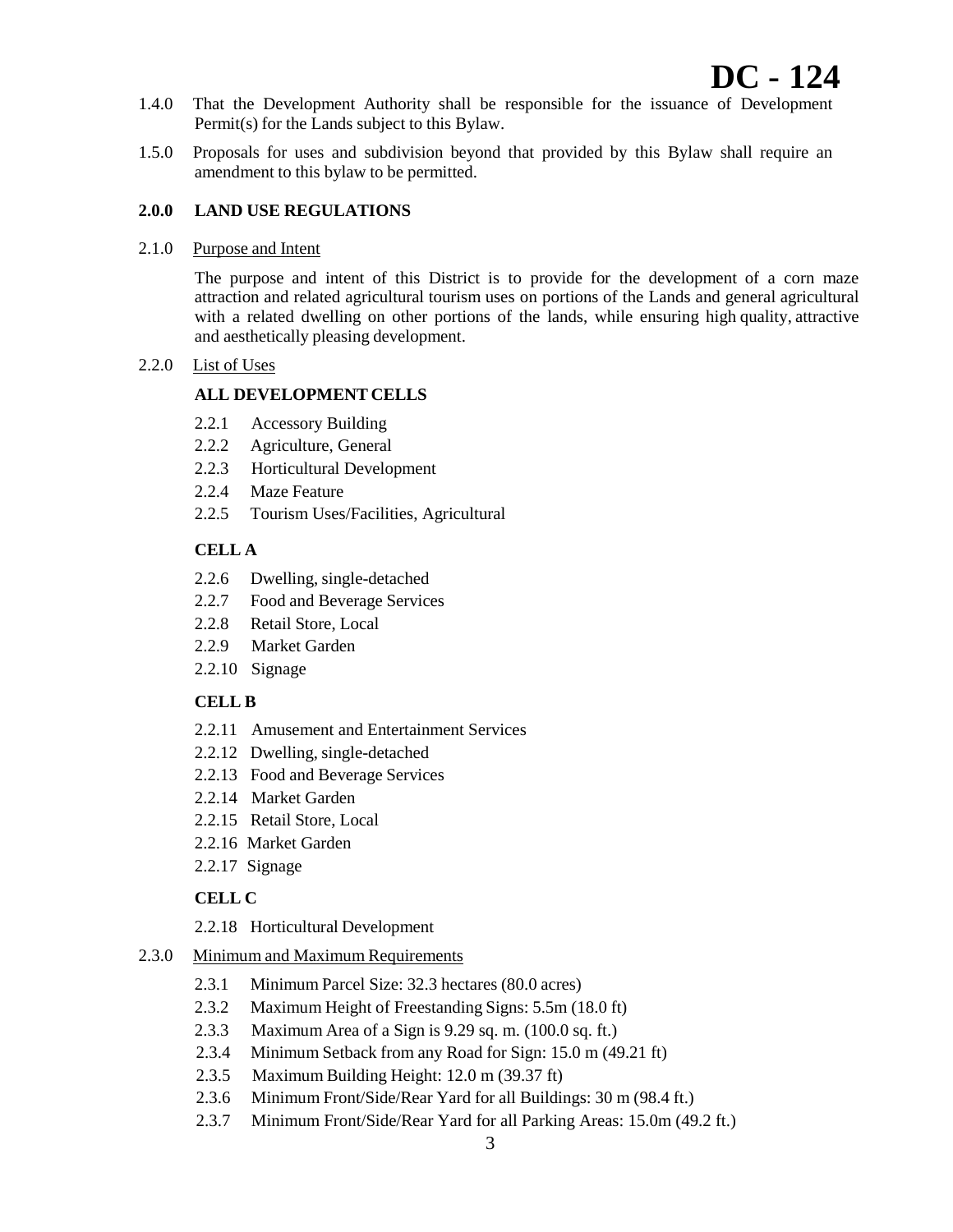- 1.4.0 That the Development Authority shall be responsible for the issuance of Development Permit(s) for the Lands subject to this Bylaw.
- 1.5.0 Proposals for uses and subdivision beyond that provided by this Bylaw shall require an amendment to this bylaw to be permitted.

#### **2.0.0 LAND USE REGULATIONS**

2.1.0 Purpose and Intent

The purpose and intent of this District is to provide for the development of a corn maze attraction and related agricultural tourism uses on portions of the Lands and general agricultural with a related dwelling on other portions of the lands, while ensuring high quality, attractive and aesthetically pleasing development.

#### 2.2.0 List of Uses

## **ALL DEVELOPMENT CELLS**

- 2.2.1 Accessory Building
- 2.2.2 Agriculture, General
- 2.2.3 Horticultural Development
- 2.2.4 Maze Feature
- 2.2.5 Tourism Uses/Facilities, Agricultural

## **CELL A**

- 2.2.6 Dwelling, single-detached
- 2.2.7 Food and Beverage Services
- 2.2.8 Retail Store, Local
- 2.2.9 Market Garden
- 2.2.10 Signage

## **CELL B**

- 2.2.11 Amusement and Entertainment Services
- 2.2.12 Dwelling, single-detached
- 2.2.13 Food and Beverage Services
- 2.2.14 Market Garden
- 2.2.15 Retail Store, Local
- 2.2.16 Market Garden
- 2.2.17 Signage

## **CELL C**

- 2.2.18 Horticultural Development
- 2.3.0 Minimum and Maximum Requirements
	- 2.3.1 Minimum Parcel Size: 32.3 hectares (80.0 acres)
	- 2.3.2 Maximum Height of Freestanding Signs: 5.5m (18.0 ft)
	- 2.3.3 Maximum Area of a Sign is 9.29 sq. m. (100.0 sq. ft.)
	- 2.3.4 Minimum Setback from any Road for Sign: 15.0 m (49.21 ft)
	- 2.3.5 Maximum Building Height: 12.0 m (39.37 ft)
	- 2.3.6 Minimum Front/Side/Rear Yard for all Buildings: 30 m (98.4 ft.)
	- 2.3.7 Minimum Front/Side/Rear Yard for all Parking Areas: 15.0m (49.2 ft.)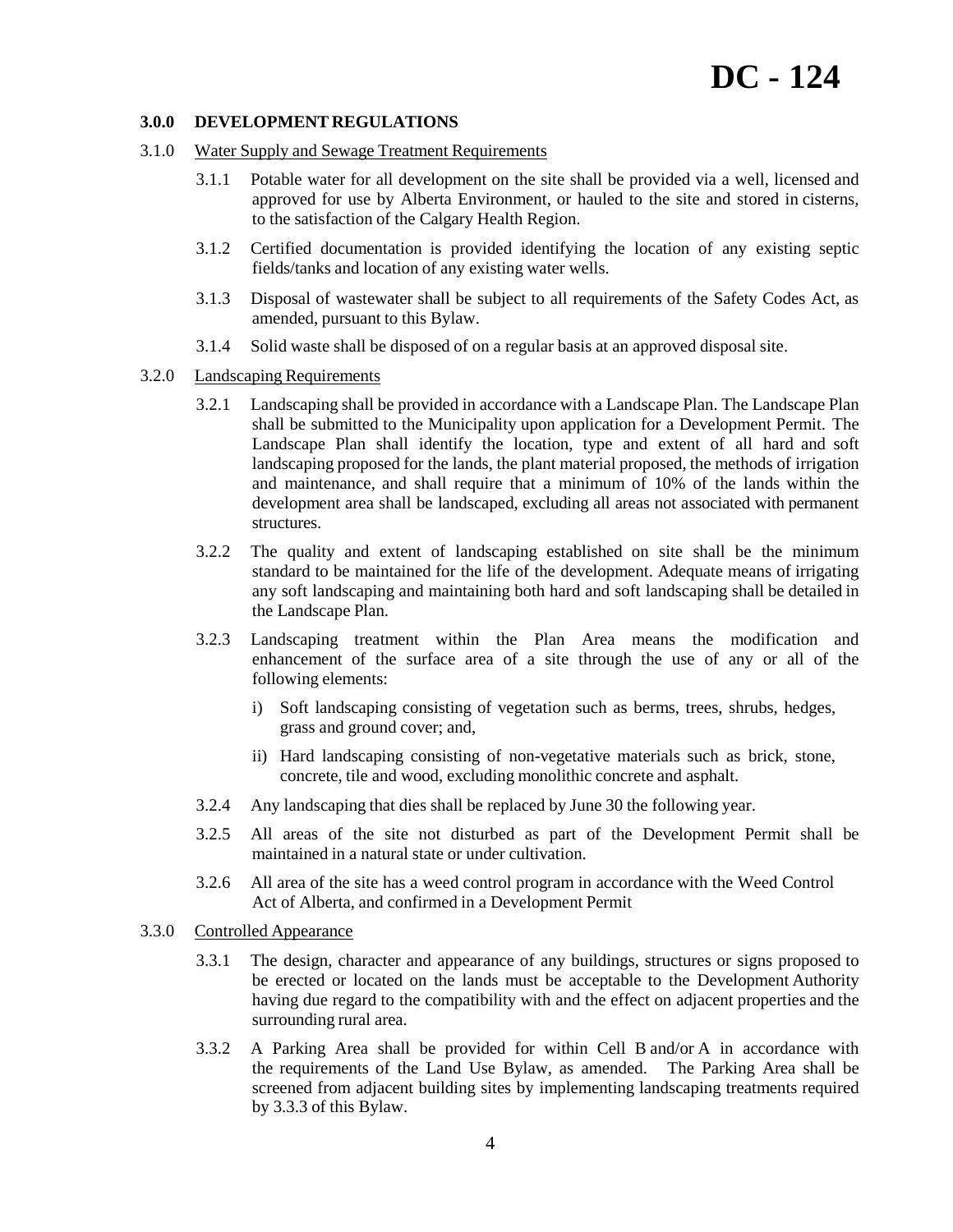#### **3.0.0 DEVELOPMENT REGULATIONS**

- 3.1.0 Water Supply and Sewage Treatment Requirements
	- 3.1.1 Potable water for all development on the site shall be provided via a well, licensed and approved for use by Alberta Environment, or hauled to the site and stored in cisterns, to the satisfaction of the Calgary Health Region.
	- 3.1.2 Certified documentation is provided identifying the location of any existing septic fields/tanks and location of any existing water wells.
	- 3.1.3 Disposal of wastewater shall be subject to all requirements of the Safety Codes Act, as amended, pursuant to this Bylaw.
	- 3.1.4 Solid waste shall be disposed of on a regular basis at an approved disposal site.
- 3.2.0 Landscaping Requirements
	- 3.2.1 Landscaping shall be provided in accordance with a Landscape Plan. The Landscape Plan shall be submitted to the Municipality upon application for a Development Permit. The Landscape Plan shall identify the location, type and extent of all hard and soft landscaping proposed for the lands, the plant material proposed, the methods of irrigation and maintenance, and shall require that a minimum of 10% of the lands within the development area shall be landscaped, excluding all areas not associated with permanent structures.
	- 3.2.2 The quality and extent of landscaping established on site shall be the minimum standard to be maintained for the life of the development. Adequate means of irrigating any soft landscaping and maintaining both hard and soft landscaping shall be detailed in the Landscape Plan.
	- 3.2.3 Landscaping treatment within the Plan Area means the modification and enhancement of the surface area of a site through the use of any or all of the following elements:
		- i) Soft landscaping consisting of vegetation such as berms, trees, shrubs, hedges, grass and ground cover; and,
		- ii) Hard landscaping consisting of non-vegetative materials such as brick, stone, concrete, tile and wood, excluding monolithic concrete and asphalt.
	- 3.2.4 Any landscaping that dies shall be replaced by June 30 the following year.
	- 3.2.5 All areas of the site not disturbed as part of the Development Permit shall be maintained in a natural state or under cultivation.
	- 3.2.6 All area of the site has a weed control program in accordance with the Weed Control Act of Alberta, and confirmed in a Development Permit
- 3.3.0 Controlled Appearance
	- 3.3.1 The design, character and appearance of any buildings, structures or signs proposed to be erected or located on the lands must be acceptable to the Development Authority having due regard to the compatibility with and the effect on adjacent properties and the surrounding rural area.
	- 3.3.2 A Parking Area shall be provided for within Cell B and/or A in accordance with the requirements of the Land Use Bylaw, as amended. The Parking Area shall be screened from adjacent building sites by implementing landscaping treatments required by 3.3.3 of this Bylaw.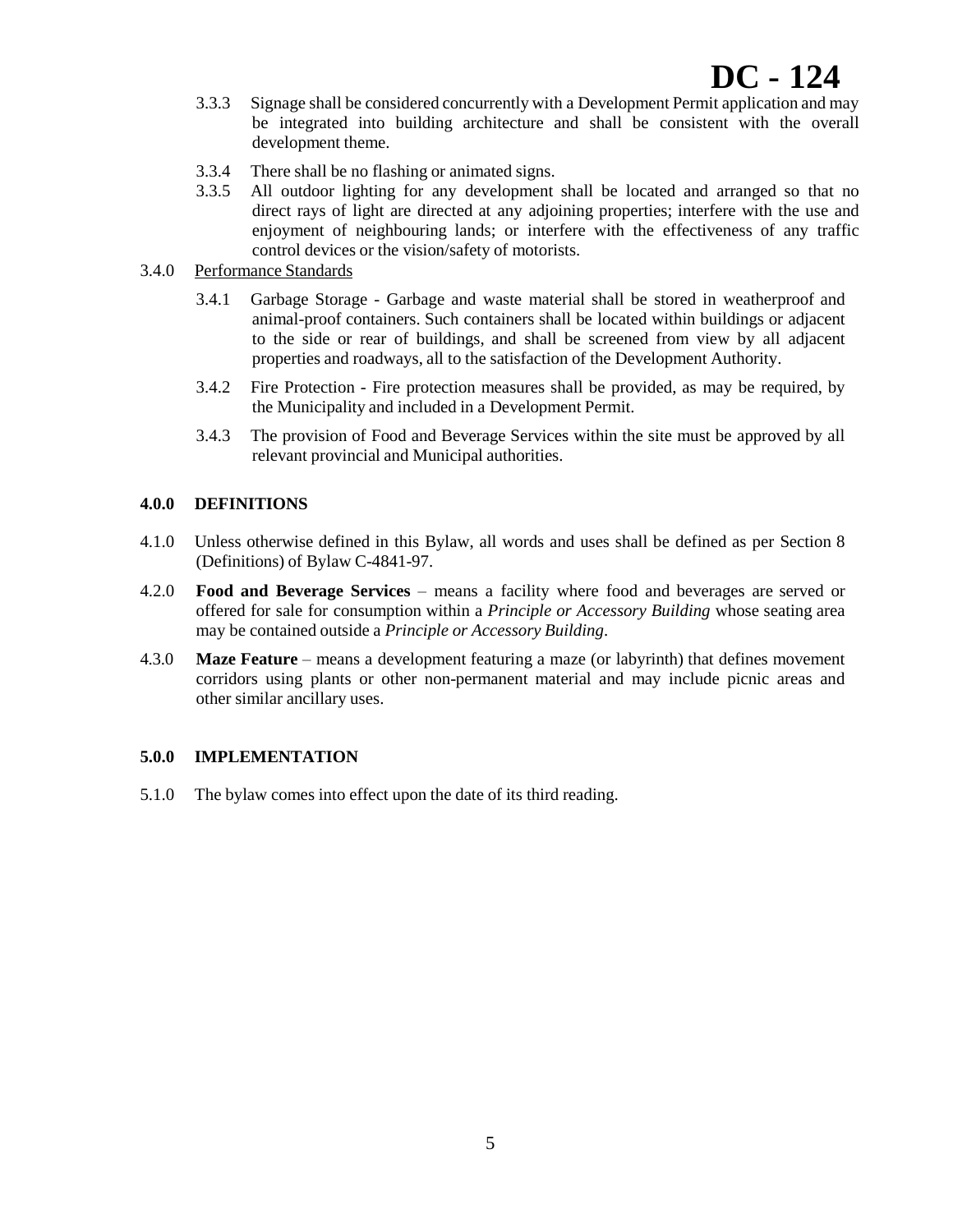- 3.3.3 Signage shall be considered concurrently with a Development Permit application and may be integrated into building architecture and shall be consistent with the overall development theme.
- 3.3.4 There shall be no flashing or animated signs.
- 3.3.5 All outdoor lighting for any development shall be located and arranged so that no direct rays of light are directed at any adjoining properties; interfere with the use and enjoyment of neighbouring lands; or interfere with the effectiveness of any traffic control devices or the vision/safety of motorists.
- 3.4.0 Performance Standards
	- 3.4.1 Garbage Storage Garbage and waste material shall be stored in weatherproof and animal-proof containers. Such containers shall be located within buildings or adjacent to the side or rear of buildings, and shall be screened from view by all adjacent properties and roadways, all to the satisfaction of the Development Authority.
	- 3.4.2 Fire Protection Fire protection measures shall be provided, as may be required, by the Municipality and included in a Development Permit.
	- 3.4.3 The provision of Food and Beverage Services within the site must be approved by all relevant provincial and Municipal authorities.

# **4.0.0 DEFINITIONS**

- 4.1.0 Unless otherwise defined in this Bylaw, all words and uses shall be defined as per Section 8 (Definitions) of Bylaw C-4841-97.
- 4.2.0 **Food and Beverage Services** means a facility where food and beverages are served or offered for sale for consumption within a *Principle or Accessory Building* whose seating area may be contained outside a *Principle or Accessory Building*.
- 4.3.0 **Maze Feature** means a development featuring a maze (or labyrinth) that defines movement corridors using plants or other non-permanent material and may include picnic areas and other similar ancillary uses.

# **5.0.0 IMPLEMENTATION**

5.1.0 The bylaw comes into effect upon the date of its third reading.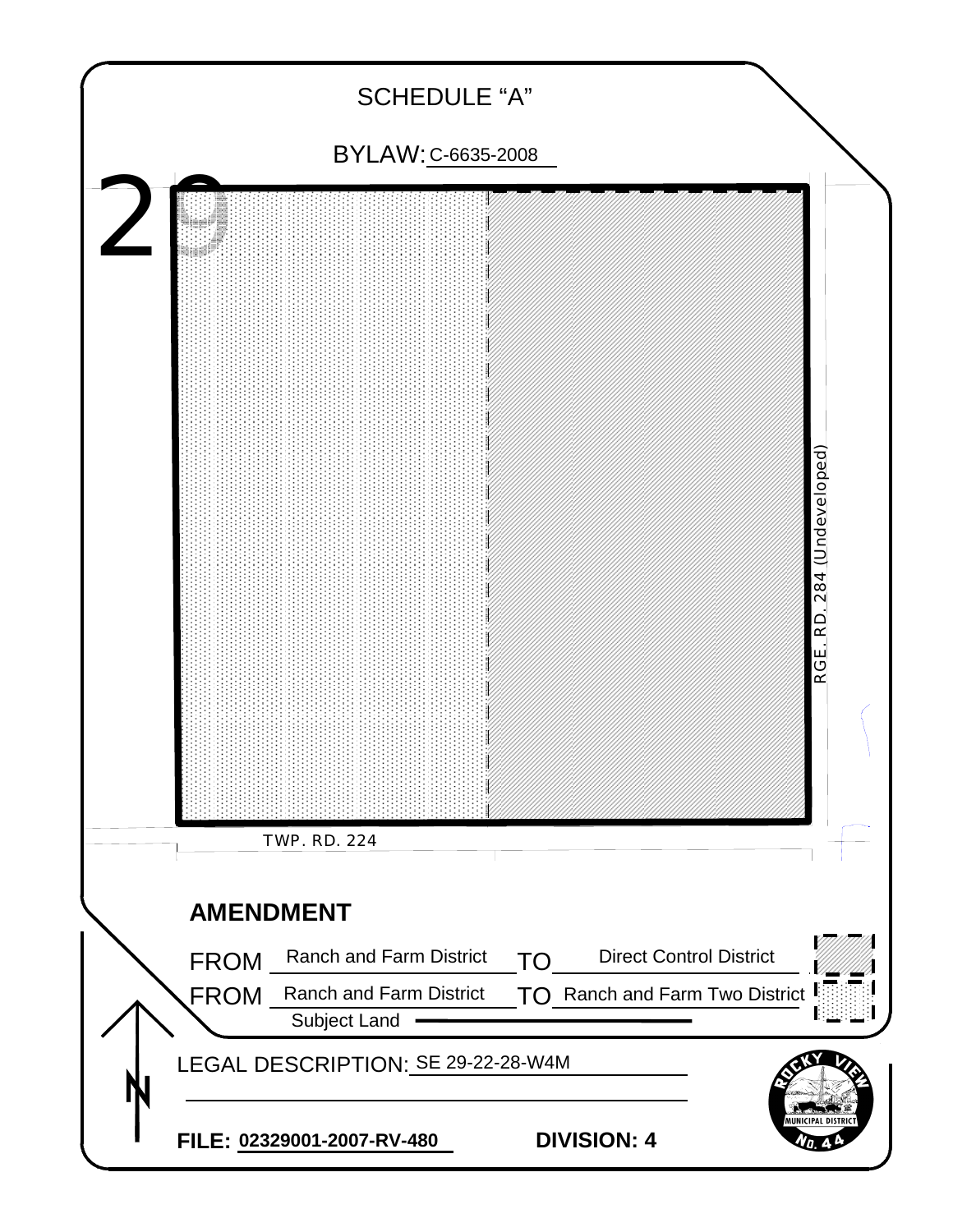